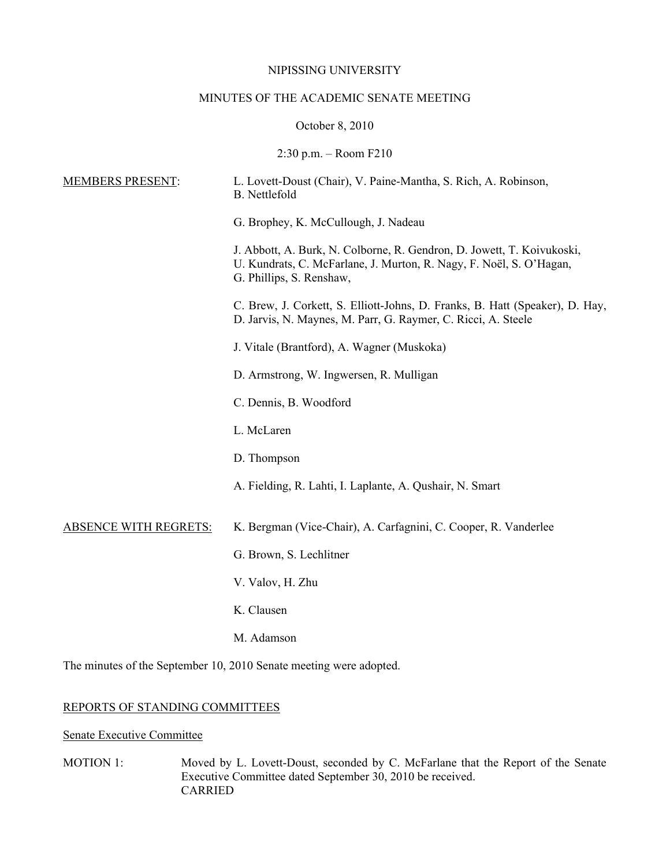#### NIPISSING UNIVERSITY

# MINUTES OF THE ACADEMIC SENATE MEETING

### October 8, 2010

### 2:30 p.m. – Room F210

| <b>MEMBERS PRESENT:</b>      | L. Lovett-Doust (Chair), V. Paine-Mantha, S. Rich, A. Robinson,<br><b>B.</b> Nettlefold                                                                                   |
|------------------------------|---------------------------------------------------------------------------------------------------------------------------------------------------------------------------|
|                              | G. Brophey, K. McCullough, J. Nadeau                                                                                                                                      |
|                              | J. Abbott, A. Burk, N. Colborne, R. Gendron, D. Jowett, T. Koivukoski,<br>U. Kundrats, C. McFarlane, J. Murton, R. Nagy, F. Noël, S. O'Hagan,<br>G. Phillips, S. Renshaw, |
|                              | C. Brew, J. Corkett, S. Elliott-Johns, D. Franks, B. Hatt (Speaker), D. Hay,<br>D. Jarvis, N. Maynes, M. Parr, G. Raymer, C. Ricci, A. Steele                             |
|                              | J. Vitale (Brantford), A. Wagner (Muskoka)                                                                                                                                |
|                              | D. Armstrong, W. Ingwersen, R. Mulligan                                                                                                                                   |
|                              | C. Dennis, B. Woodford                                                                                                                                                    |
|                              | L. McLaren                                                                                                                                                                |
|                              | D. Thompson                                                                                                                                                               |
|                              | A. Fielding, R. Lahti, I. Laplante, A. Qushair, N. Smart                                                                                                                  |
| <b>ABSENCE WITH REGRETS:</b> | K. Bergman (Vice-Chair), A. Carfagnini, C. Cooper, R. Vanderlee                                                                                                           |
|                              | G. Brown, S. Lechlitner                                                                                                                                                   |
|                              | V. Valov, H. Zhu                                                                                                                                                          |
|                              | K. Clausen                                                                                                                                                                |
|                              | M. Adamson                                                                                                                                                                |
|                              | The minutes of the September 10, 2010 Senate meeting were adopted.                                                                                                        |

# REPORTS OF STANDING COMMITTEES

# Senate Executive Committee

MOTION 1: Moved by L. Lovett-Doust, seconded by C. McFarlane that the Report of the Senate Executive Committee dated September 30, 2010 be received. CARRIED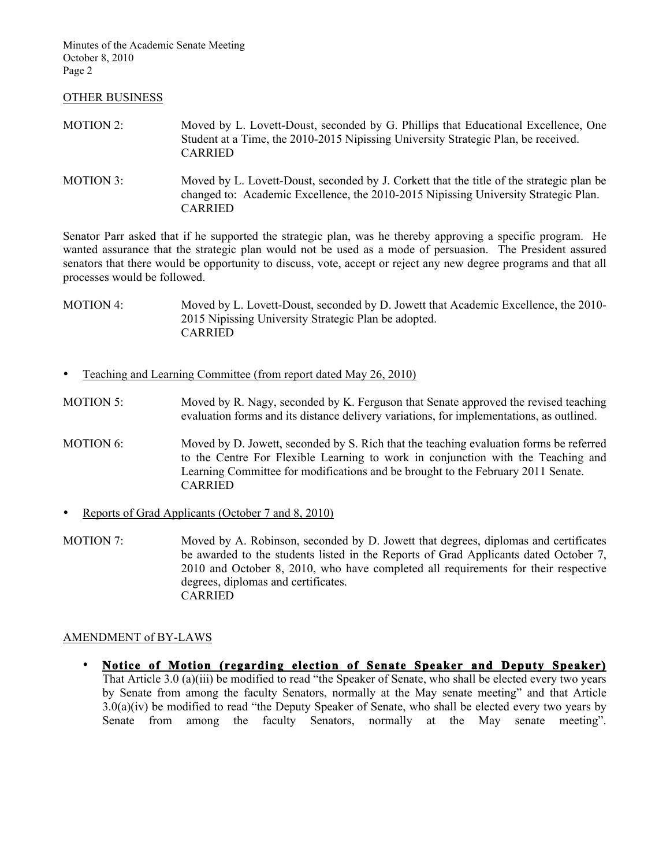#### OTHER BUSINESS

| MOTION 2: | Moved by L. Lovett-Doust, seconded by G. Phillips that Educational Excellence, One |
|-----------|------------------------------------------------------------------------------------|
|           | Student at a Time, the 2010-2015 Nipissing University Strategic Plan, be received. |
|           | <b>CARRIED</b>                                                                     |
|           |                                                                                    |

MOTION 3: Moved by L. Lovett-Doust, seconded by J. Corkett that the title of the strategic plan be changed to: Academic Excellence, the 2010-2015 Nipissing University Strategic Plan. CARRIED

Senator Parr asked that if he supported the strategic plan, was he thereby approving a specific program. He wanted assurance that the strategic plan would not be used as a mode of persuasion. The President assured senators that there would be opportunity to discuss, vote, accept or reject any new degree programs and that all processes would be followed.

MOTION 4: Moved by L. Lovett-Doust, seconded by D. Jowett that Academic Excellence, the 2010-2015 Nipissing University Strategic Plan be adopted. CARRIED

- Teaching and Learning Committee (from report dated May 26, 2010)
- MOTION 5: Moved by R. Nagy, seconded by K. Ferguson that Senate approved the revised teaching evaluation forms and its distance delivery variations, for implementations, as outlined.
- MOTION 6: Moved by D. Jowett, seconded by S. Rich that the teaching evaluation forms be referred to the Centre For Flexible Learning to work in conjunction with the Teaching and Learning Committee for modifications and be brought to the February 2011 Senate. CARRIED
- Reports of Grad Applicants (October 7 and 8, 2010)
- MOTION 7: Moved by A. Robinson, seconded by D. Jowett that degrees, diplomas and certificates be awarded to the students listed in the Reports of Grad Applicants dated October 7, 2010 and October 8, 2010, who have completed all requirements for their respective degrees, diplomas and certificates. CARRIED

## AMENDMENT of BY-LAWS

• **Notice of Motion (regarding election of Senate Speaker and Deputy Speaker)**  That Article 3.0 (a)(iii) be modified to read "the Speaker of Senate, who shall be elected every two years by Senate from among the faculty Senators, normally at the May senate meeting" and that Article 3.0(a)(iv) be modified to read "the Deputy Speaker of Senate, who shall be elected every two years by Senate from among the faculty Senators, normally at the May senate meeting".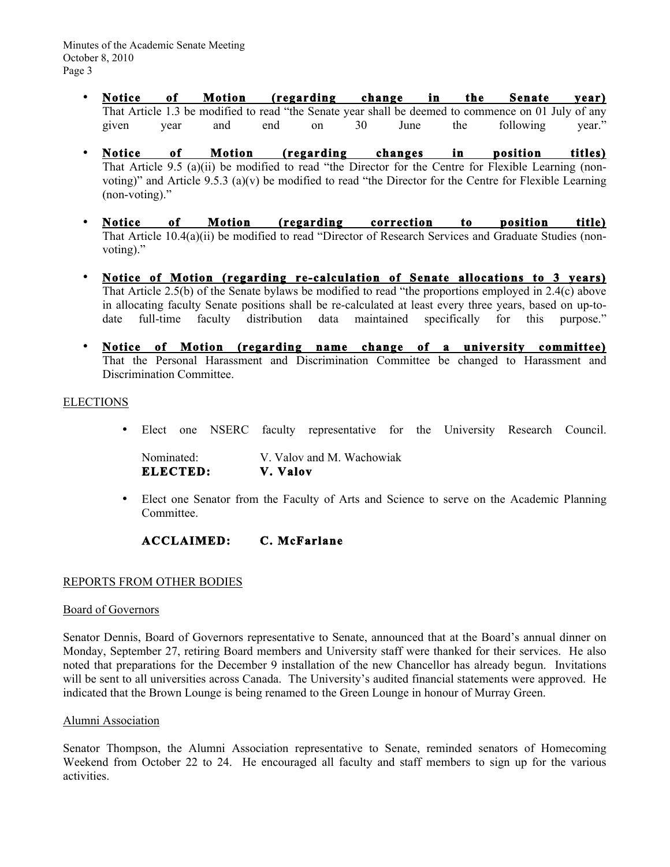- **Notice of Motion (regarding change in the Senate year)** That Article 1.3 be modified to read "the Senate year shall be deemed to commence on 01 July of any given year and end on 30 June the following year."
- **Notice of Motion (regarding changes in position titles)** That Article 9.5 (a)(ii) be modified to read "the Director for the Centre for Flexible Learning (nonvoting)" and Article 9.5.3 (a)(v) be modified to read "the Director for the Centre for Flexible Learning (non-voting)."
- **Notice of Motion (regarding correction to position title)** That Article 10.4(a)(ii) be modified to read "Director of Research Services and Graduate Studies (nonvoting)."
- **Notice of Motion (regarding re-calculation of Senate allocations to 3 years)** That Article 2.5(b) of the Senate bylaws be modified to read "the proportions employed in 2.4(c) above in allocating faculty Senate positions shall be re-calculated at least every three years, based on up-todate full-time faculty distribution data maintained specifically for this purpose."
- **Notice of Motion (regarding name change of a university committee)** That the Personal Harassment and Discrimination Committee be changed to Harassment and Discrimination Committee.

#### ELECTIONS

• Elect one NSERC faculty representative for the University Research Council.

| Nominated: | V. Valov and M. Wachowiak |
|------------|---------------------------|
| ELECTED:   | V. Valov                  |

• Elect one Senator from the Faculty of Arts and Science to serve on the Academic Planning Committee.

# **ACCLAIMED: C. McFarlane**

## REPORTS FROM OTHER BODIES

#### Board of Governors

Senator Dennis, Board of Governors representative to Senate, announced that at the Board's annual dinner on Monday, September 27, retiring Board members and University staff were thanked for their services. He also noted that preparations for the December 9 installation of the new Chancellor has already begun. Invitations will be sent to all universities across Canada. The University's audited financial statements were approved. He indicated that the Brown Lounge is being renamed to the Green Lounge in honour of Murray Green.

#### Alumni Association

Senator Thompson, the Alumni Association representative to Senate, reminded senators of Homecoming Weekend from October 22 to 24. He encouraged all faculty and staff members to sign up for the various activities.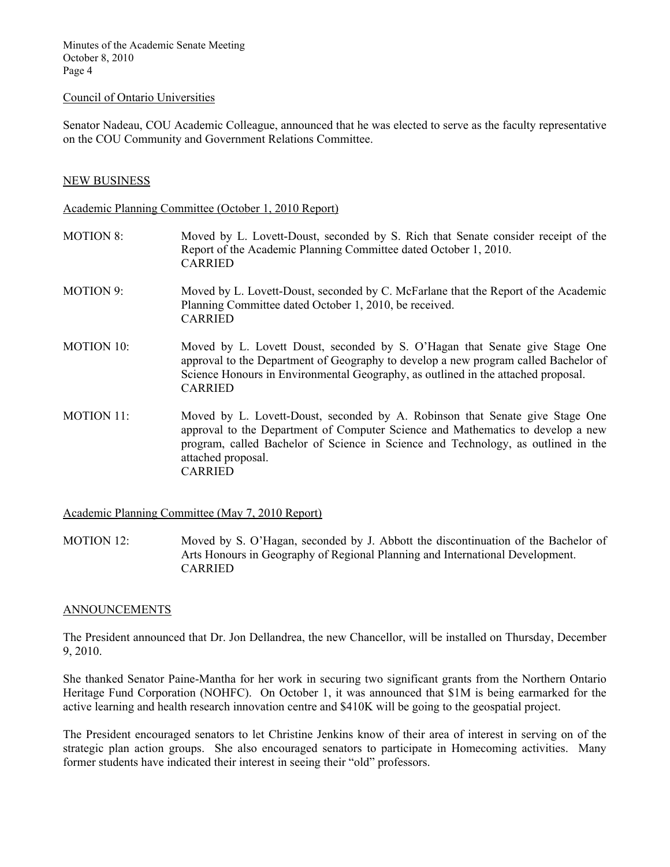#### Council of Ontario Universities

Senator Nadeau, COU Academic Colleague, announced that he was elected to serve as the faculty representative on the COU Community and Government Relations Committee.

### NEW BUSINESS

Academic Planning Committee (October 1, 2010 Report)

- MOTION 8: Moved by L. Lovett-Doust, seconded by S. Rich that Senate consider receipt of the Report of the Academic Planning Committee dated October 1, 2010. CARRIED MOTION 9: Moved by L. Lovett-Doust, seconded by C. McFarlane that the Report of the Academic Planning Committee dated October 1, 2010, be received. CARRIED MOTION 10: Moved by L. Lovett Doust, seconded by S. O'Hagan that Senate give Stage One approval to the Department of Geography to develop a new program called Bachelor of Science Honours in Environmental Geography, as outlined in the attached proposal.
- MOTION 11: Moved by L. Lovett-Doust, seconded by A. Robinson that Senate give Stage One approval to the Department of Computer Science and Mathematics to develop a new program, called Bachelor of Science in Science and Technology, as outlined in the attached proposal. CARRIED

Academic Planning Committee (May 7, 2010 Report)

CARRIED

MOTION 12: Moved by S. O'Hagan, seconded by J. Abbott the discontinuation of the Bachelor of Arts Honours in Geography of Regional Planning and International Development. CARRIED

#### ANNOUNCEMENTS

The President announced that Dr. Jon Dellandrea, the new Chancellor, will be installed on Thursday, December 9, 2010.

She thanked Senator Paine-Mantha for her work in securing two significant grants from the Northern Ontario Heritage Fund Corporation (NOHFC). On October 1, it was announced that \$1M is being earmarked for the active learning and health research innovation centre and \$410K will be going to the geospatial project.

The President encouraged senators to let Christine Jenkins know of their area of interest in serving on of the strategic plan action groups. She also encouraged senators to participate in Homecoming activities. Many former students have indicated their interest in seeing their "old" professors.